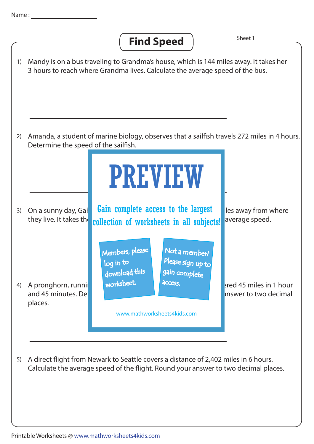